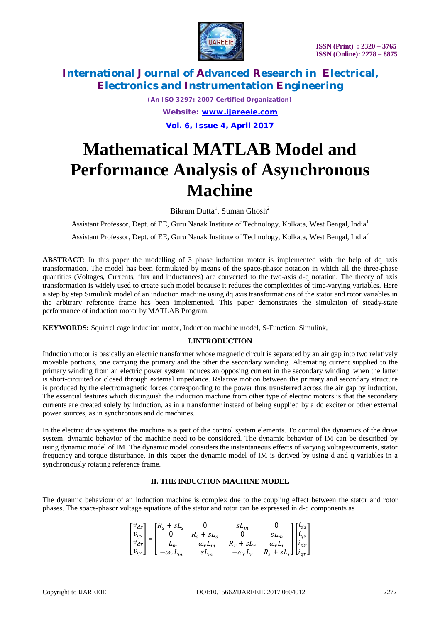

*(An ISO 3297: 2007 Certified Organization) Website: [www.ijareeie.com](http://www.ijareeie.com)* **Vol. 6, Issue 4, April 2017**

# **Mathematical MATLAB Model and Performance Analysis of Asynchronous Machine**

Bikram Dutta<sup>1</sup>, Suman Ghosh<sup>2</sup>

Assistant Professor, Dept. of EE, Guru Nanak Institute of Technology, Kolkata, West Bengal, India<sup>1</sup>

Assistant Professor, Dept. of EE, Guru Nanak Institute of Technology, Kolkata, West Bengal, India<sup>2</sup>

**ABSTRACT**: In this paper the modelling of 3 phase induction motor is implemented with the help of dq axis transformation. The model has been formulated by means of the space-phasor notation in which all the three-phase quantities (Voltages, Currents, flux and inductances) are converted to the two-axis d-q notation. The theory of axis transformation is widely used to create such model because it reduces the complexities of time-varying variables. Here a step by step Simulink model of an induction machine using dq axis transformations of the stator and rotor variables in the arbitrary reference frame has been implemented. This paper demonstrates the simulation of steady-state performance of induction motor by MATLAB Program.

**KEYWORDS:** Squirrel cage induction motor, Induction machine model, S-Function, Simulink,

### **I.INTRODUCTION**

Induction motor is basically an electric transformer whose magnetic circuit is separated by an air gap into two relatively movable portions, one carrying the primary and the other the secondary winding. Alternating current supplied to the primary winding from an electric power system induces an opposing current in the secondary winding, when the latter is short-circuited or closed through external impedance. Relative motion between the primary and secondary structure is produced by the electromagnetic forces corresponding to the power thus transferred across the air gap by induction. The essential features which distinguish the induction machine from other type of electric motors is that the secondary currents are created solely by induction, as in a transformer instead of being supplied by a dc exciter or other external power sources, as in synchronous and dc machines.

In the electric drive systems the machine is a part of the control system elements. To control the dynamics of the drive system, dynamic behavior of the machine need to be considered. The dynamic behavior of IM can be described by using dynamic model of IM. The dynamic model considers the instantaneous effects of varying voltages/currents, stator frequency and torque disturbance. In this paper the dynamic model of IM is derived by using d and q variables in a synchronously rotating reference frame.

### **II. THE INDUCTION MACHINE MODEL**

The dynamic behaviour of an induction machine is complex due to the coupling effect between the stator and rotor phases. The space-phasor voltage equations of the stator and rotor can be expressed in d-q components as

$$
\begin{bmatrix} v_{ds}\\ v_{qs}\\ v_{dr}\\ v_{qr}\\ \end{bmatrix}=\begin{bmatrix} R_s+sL_s & 0 & sL_m & 0\\ 0 & R_s+sL_s & 0 & sL_m\\ L_m & \omega_rL_m & R_r+sL_r & \omega_rL_r\\ -\omega_rL_m & sL_m & -\omega_rL_r & R_s+sL_r \end{bmatrix}\begin{bmatrix} i_{ds}\\ i_{qs}\\ i_{dr}\\ i_{qr}\\ \end{bmatrix}
$$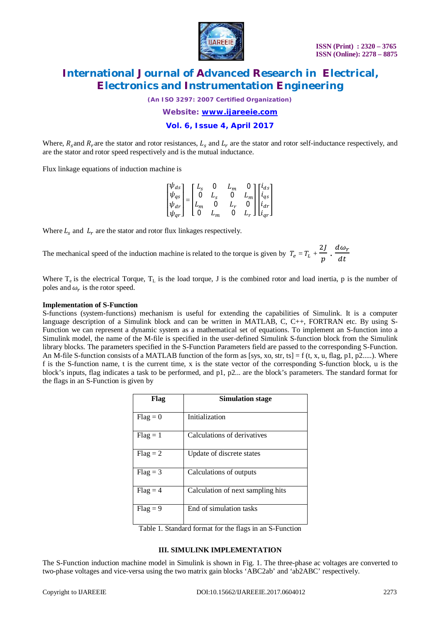

*(An ISO 3297: 2007 Certified Organization)*

*Website: [www.ijareeie.com](http://www.ijareeie.com)*

**Vol. 6, Issue 4, April 2017**

Where,  $R_s$  and  $R_r$  are the stator and rotor resistances,  $L_s$  and  $L_r$  are the stator and rotor self-inductance respectively, and are the stator and rotor speed respectively and is the mutual inductance.

Flux linkage equations of induction machine is

|                                                                           |  | $L_{\rm c}$       | U              | $L_m$       |                                                                                                                         |
|---------------------------------------------------------------------------|--|-------------------|----------------|-------------|-------------------------------------------------------------------------------------------------------------------------|
| $\left[\begin{matrix} \psi_{ds}\ \psi_{qs} \end{matrix}\right]$           |  | - 0               | $L_{s}$        | 0           |                                                                                                                         |
|                                                                           |  | $\vert L_m \vert$ | $\overline{0}$ | $L_r$       |                                                                                                                         |
| $\left[\begin{smallmatrix} \psi_{dr}\ \psi_{qr} \end{smallmatrix}\right]$ |  | l o               | $L_m$          | $\mathbf 0$ | $\begin{bmatrix} 0 \\ L_m \\ 0 \\ L_r \end{bmatrix} \begin{bmatrix} i_{ds} \\ i_{qs} \\ i_{dr} \\ i_{qr} \end{bmatrix}$ |

Where  $L_s$  and  $L_r$  are the stator and rotor flux linkages respectively.

The mechanical speed of the induction machine is related to the torque is given by  $T_e = T_L + T_e$  $2J$  $\frac{2J}{p} \cdot \frac{d\omega_r}{dt}$  $dt$ 

Where  $T_e$  is the electrical Torque,  $T_L$  is the load torque, J is the combined rotor and load inertia, p is the number of poles and  $\omega_r$  is the rotor speed.

#### **Implementation of S-Function**

S-functions (system-functions) mechanism is useful for extending the capabilities of Simulink. It is a computer language description of a Simulink block and can be written in MATLAB, C, C++, FORTRAN etc. By using S-Function we can represent a dynamic system as a mathematical set of equations. To implement an S-function into a Simulink model, the name of the M-file is specified in the user-defined Simulink S-function block from the Simulink library blocks. The parameters specified in the S-Function Parameters field are passed to the corresponding S-Function. An M-file S-function consists of a MATLAB function of the form as [sys, xo, str, ts] = f (t, x, u, flag, p1, p2.....). Where f is the S-function name, t is the current time, x is the state vector of the corresponding S-function block, u is the block's inputs, flag indicates a task to be performed, and p1, p2... are the block's parameters. The standard format for the flags in an S-Function is given by

| Flag       | <b>Simulation stage</b>           |
|------------|-----------------------------------|
| $Flag = 0$ | Initialization                    |
| $Flag = 1$ | Calculations of derivatives       |
| $Flag = 2$ | Update of discrete states         |
| $Flag = 3$ | Calculations of outputs           |
| $Flag = 4$ | Calculation of next sampling hits |
| $Flag = 9$ | End of simulation tasks           |

Table 1. Standard format for the flags in an S-Function

#### **III. SIMULINK IMPLEMENTATION**

The S-Function induction machine model in Simulink is shown in Fig. 1. The three-phase ac voltages are converted to two-phase voltages and vice-versa using the two matrix gain blocks 'ABC2ab' and 'ab2ABC' respectively.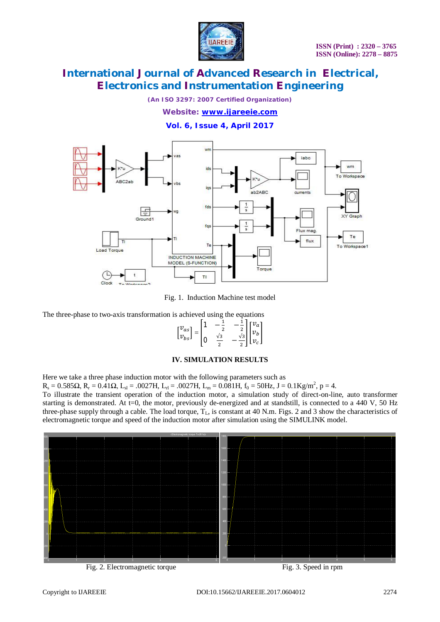

*(An ISO 3297: 2007 Certified Organization)*

*Website: [www.ijareeie.com](http://www.ijareeie.com)*

**Vol. 6, Issue 4, April 2017**



Fig. 1. Induction Machine test model

The three-phase to two-axis transformation is achieved using the equations

$$
\begin{bmatrix} v_{as} \\ v_{bs} \end{bmatrix} = \begin{bmatrix} 1 & -\frac{1}{2} & -\frac{1}{2} \\ 0 & \frac{\sqrt{3}}{2} & -\frac{\sqrt{3}}{2} \end{bmatrix} \begin{bmatrix} v_a \\ v_b \\ v_c \end{bmatrix}
$$

### **IV. SIMULATION RESULTS**

Here we take a three phase induction motor with the following parameters such as

 $R_s = 0.585\Omega$ ,  $R_r = 0.41\Omega$ ,  $L_{sl} = .0027H$ ,  $L_{rl} = .0027H$ ,  $L_m = 0.081H$ ,  $f_0 = 50Hz$ ,  $J = 0.1Kg/m^2$ ,  $p = 4$ .

To illustrate the transient operation of the induction motor, a simulation study of direct-on-line, auto transformer starting is demonstrated. At t=0, the motor, previously de-energized and at standstill, is connected to a 440 V, 50 Hz three-phase supply through a cable. The load torque,  $T_L$ , is constant at 40 N.m. Figs. 2 and 3 show the characteristics of electromagnetic torque and speed of the induction motor after simulation using the SIMULINK model.



Fig. 2. Electromagnetic torque Fig. 3. Speed in rpm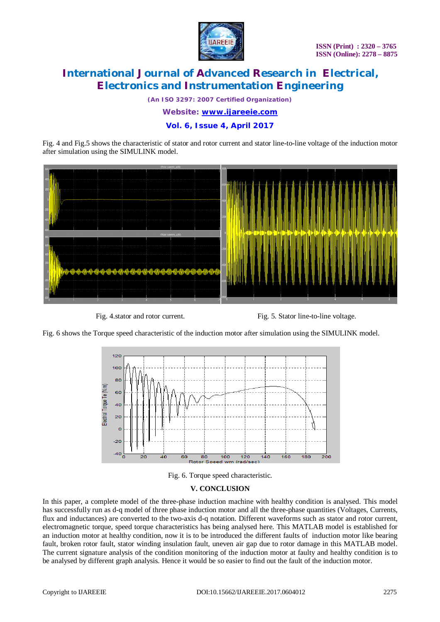

*(An ISO 3297: 2007 Certified Organization)*

*Website: [www.ijareeie.com](http://www.ijareeie.com)*

**Vol. 6, Issue 4, April 2017**

Fig. 4 and Fig.5 shows the characteristic of stator and rotor current and stator line-to-line voltage of the induction motor after simulation using the SIMULINK model.



Fig. 4.stator and rotor current. Fig. 5. Stator line-to-line voltage.

Fig. 6 shows the Torque speed characteristic of the induction motor after simulation using the SIMULINK model.



Fig. 6. Torque speed characteristic.

### **V. CONCLUSION**

In this paper, a complete model of the three-phase induction machine with healthy condition is analysed. This model has successfully run as d-q model of three phase induction motor and all the three-phase quantities (Voltages, Currents, flux and inductances) are converted to the two-axis d-q notation. Different waveforms such as stator and rotor current, electromagnetic torque, speed torque characteristics has being analysed here. This MATLAB model is established for an induction motor at healthy condition, now it is to be introduced the different faults of induction motor like bearing fault, broken rotor fault, stator winding insulation fault, uneven air gap due to rotor damage in this MATLAB model. The current signature analysis of the condition monitoring of the induction motor at faulty and healthy condition is to be analysed by different graph analysis. Hence it would be so easier to find out the fault of the induction motor.